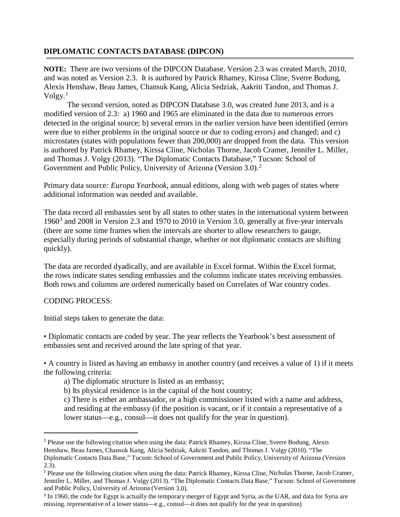## **DIPLOMATIC CONTACTS DATABASE (DIPCON)**

**NOTE:** There are two versions of the DIPCON Database. Version 2.3 was created March, 2010, and was noted as Version 2.3. It is authored by Patrick Rhamey, Kirssa Cline, Sverre Bodung, Alexis Henshaw, Beau James, Chansuk Kang, Alicia Sedziak, Aakriti Tandon, and Thomas J. Volgy. [1](#page-0-0)

The second version, noted as DIPCON Database 3.0, was created June 2013, and is a modified version of 2.3: a) 1960 and 1965 are eliminated in the data due to numerous errors detected in the original source; b) several errors in the earlier version have been identified (errors were due to either problems in the original source or due to coding errors) and changed; and c) microstates (states with populations fewer than 200,000) are dropped from the data. This version is authored by Patrick Rhamey, Kirssa Cline, Nicholas Thorne, Jacob Cramer, Jennifer L. Miller, and Thomas J. Volgy (2013). "The Diplomatic Contacts Database," Tucson: School of Government and Public Policy, University of Arizona (Version 3.0).<sup>[2](#page-0-1)</sup>

Primary data source*: Europa Yearbook*, annual editions, along with web pages of states where additional information was needed and available.

The data record all embassies sent by all states to other states in the international system between 1960<sup>[3](#page-0-2)</sup> and 2008 in Version 2.3 and 1970 to 2010 in Version 3.0, generally at five-year intervals (there are some time frames when the intervals are shorter to allow researchers to gauge, especially during periods of substantial change, whether or not diplomatic contacts are shifting quickly).

The data are recorded dyadically, and are available in Excel format. Within the Excel format, the rows indicate states sending embassies and the columns indicate states receiving embassies. Both rows and columns are ordered numerically based on Correlates of War country codes.

## CODING PROCESS:

**.** 

Initial steps taken to generate the data:

• Diplomatic contacts are coded by year. The year reflects the Yearbook's best assessment of embassies sent and received around the late spring of that year.

• A country is listed as having an embassy in another country (and receives a value of 1) if it meets the following criteria:

- a) The diplomatic structure is listed as an embassy;
- b) Its physical residence is in the capital of the host country;

c) There is either an ambassador, or a high commissioner listed with a name and address, and residing at the embassy (if the position is vacant, or if it contain a representative of a lower status—e.g., consul—it does not qualify for the year in question).

<span id="page-0-0"></span><sup>1</sup> Please use the following citation when using the data: Patrick Rhamey, Kirssa Cline, Sverre Bodung, Alexis Henshaw, Beau James, Chansuk Kang, Alicia Sedziak, Aakriti Tandon, and Thomas J. Volgy (2010). "The Diplomatic Contacts Data Base," Tucson: School of Government and Public Policy, University of Arizona (Version 2.3).

<span id="page-0-1"></span><sup>2</sup> Please use the following citation when using the data: Patrick Rhamey, Kirssa Cline, Nicholas Thorne, Jacob Cramer, Jennifer L. Miller, and Thomas J. Volgy (2013). "The Diplomatic Contacts Data Base," Tucson: School of Government and Public Policy, University of Arizona (Version 3.0).

<span id="page-0-2"></span><sup>&</sup>lt;sup>3</sup> In 1960, the code for Egypt is actually the temporary merger of Egypt and Syria, as the UAR, and data for Syria are missing. representative of a lower status—e.g., consul—it does not qualify for the year in question)